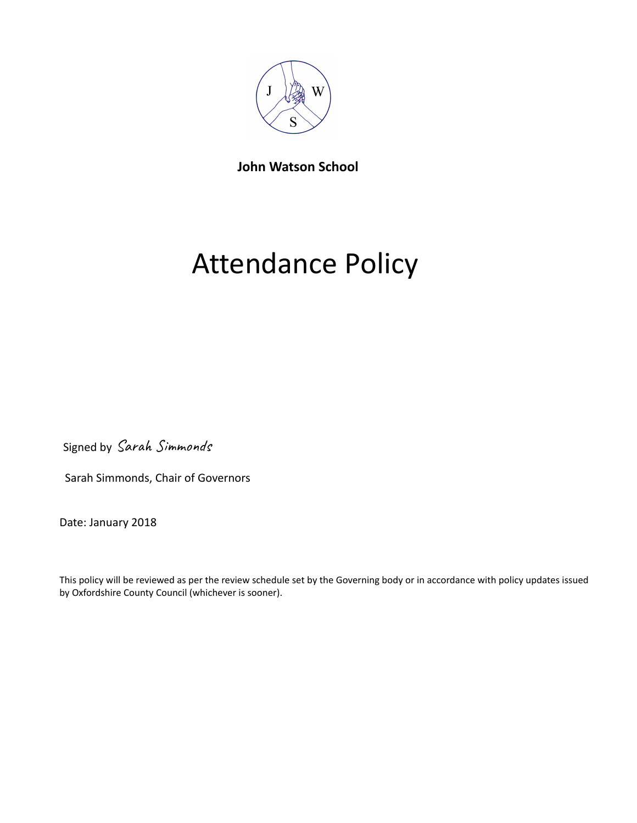

**John Watson School**

# Attendance Policy

Signed by Sarah Simmonds

Sarah Simmonds, Chair of Governors

Date: January 2018

This policy will be reviewed as per the review schedule set by the Governing body or in accordance with policy updates issued by Oxfordshire County Council (whichever is sooner).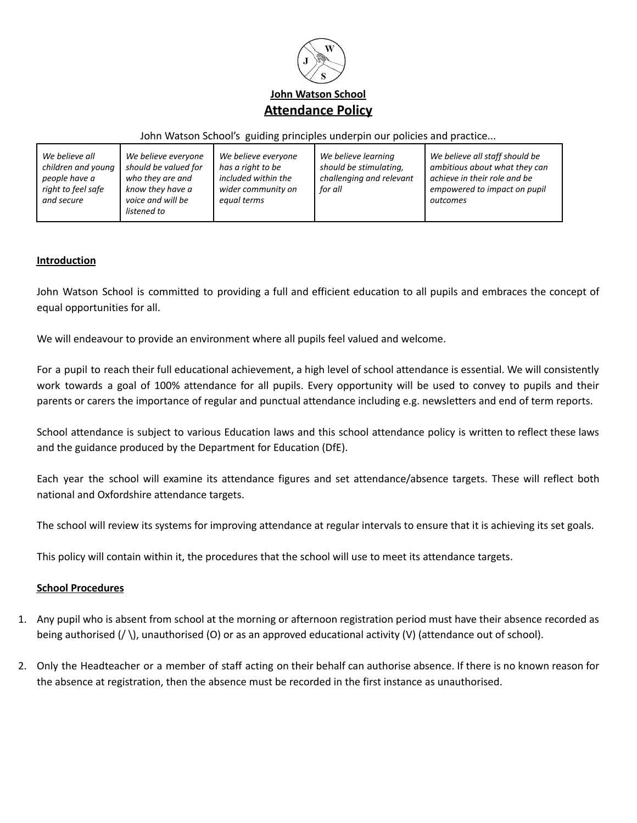

#### John Watson School's guiding principles underpin our policies and practice...

| We believe all<br>children and young<br>people have a<br>right to feel safe<br>and secure | We believe everyone<br>should be valued for<br>who they are and<br>know they have a<br>voice and will be | We believe everyone<br>has a right to be<br>included within the<br>wider community on<br>equal terms | We believe learning<br>should be stimulating,<br>challenging and relevant<br>for all | We believe all staff should be<br>ambitious about what they can<br>achieve in their role and be<br>empowered to impact on pupil<br>outcomes |
|-------------------------------------------------------------------------------------------|----------------------------------------------------------------------------------------------------------|------------------------------------------------------------------------------------------------------|--------------------------------------------------------------------------------------|---------------------------------------------------------------------------------------------------------------------------------------------|
|                                                                                           | listened to                                                                                              |                                                                                                      |                                                                                      |                                                                                                                                             |

## **Introduction**

John Watson School is committed to providing a full and efficient education to all pupils and embraces the concept of equal opportunities for all.

We will endeavour to provide an environment where all pupils feel valued and welcome.

For a pupil to reach their full educational achievement, a high level of school attendance is essential. We will consistently work towards a goal of 100% attendance for all pupils. Every opportunity will be used to convey to pupils and their parents or carers the importance of regular and punctual attendance including e.g. newsletters and end of term reports.

School attendance is subject to various Education laws and this school attendance policy is written to reflect these laws and the guidance produced by the Department for Education (DfE).

Each year the school will examine its attendance figures and set attendance/absence targets. These will reflect both national and Oxfordshire attendance targets.

The school will review its systems for improving attendance at regular intervals to ensure that it is achieving its set goals.

This policy will contain within it, the procedures that the school will use to meet its attendance targets.

#### **School Procedures**

- 1. Any pupil who is absent from school at the morning or afternoon registration period must have their absence recorded as being authorised (/ \), unauthorised (O) or as an approved educational activity (V) (attendance out of school).
- 2. Only the Headteacher or a member of staff acting on their behalf can authorise absence. If there is no known reason for the absence at registration, then the absence must be recorded in the first instance as unauthorised.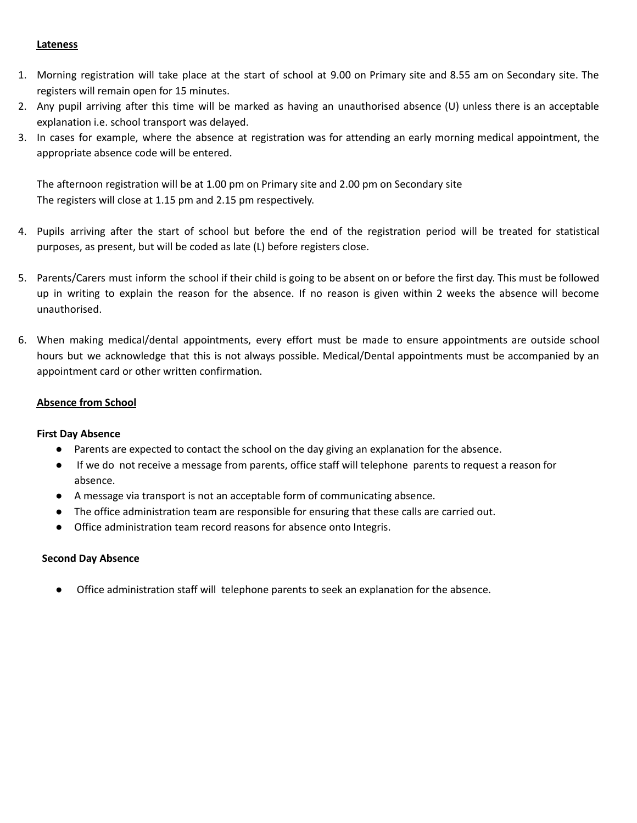#### **Lateness**

- 1. Morning registration will take place at the start of school at 9.00 on Primary site and 8.55 am on Secondary site. The registers will remain open for 15 minutes.
- 2. Any pupil arriving after this time will be marked as having an unauthorised absence (U) unless there is an acceptable explanation i.e. school transport was delayed.
- 3. In cases for example, where the absence at registration was for attending an early morning medical appointment, the appropriate absence code will be entered.

The afternoon registration will be at 1.00 pm on Primary site and 2.00 pm on Secondary site The registers will close at 1.15 pm and 2.15 pm respectively.

- 4. Pupils arriving after the start of school but before the end of the registration period will be treated for statistical purposes, as present, but will be coded as late (L) before registers close.
- 5. Parents/Carers must inform the school if their child is going to be absent on or before the first day. This must be followed up in writing to explain the reason for the absence. If no reason is given within 2 weeks the absence will become unauthorised.
- 6. When making medical/dental appointments, every effort must be made to ensure appointments are outside school hours but we acknowledge that this is not always possible. Medical/Dental appointments must be accompanied by an appointment card or other written confirmation.

## **Absence from School**

#### **First Day Absence**

- Parents are expected to contact the school on the day giving an explanation for the absence.
- If we do not receive a message from parents, office staff will telephone parents to request a reason for absence.
- A message via transport is not an acceptable form of communicating absence.
- The office administration team are responsible for ensuring that these calls are carried out.
- Office administration team record reasons for absence onto Integris.

## **Second Day Absence**

Office administration staff will telephone parents to seek an explanation for the absence.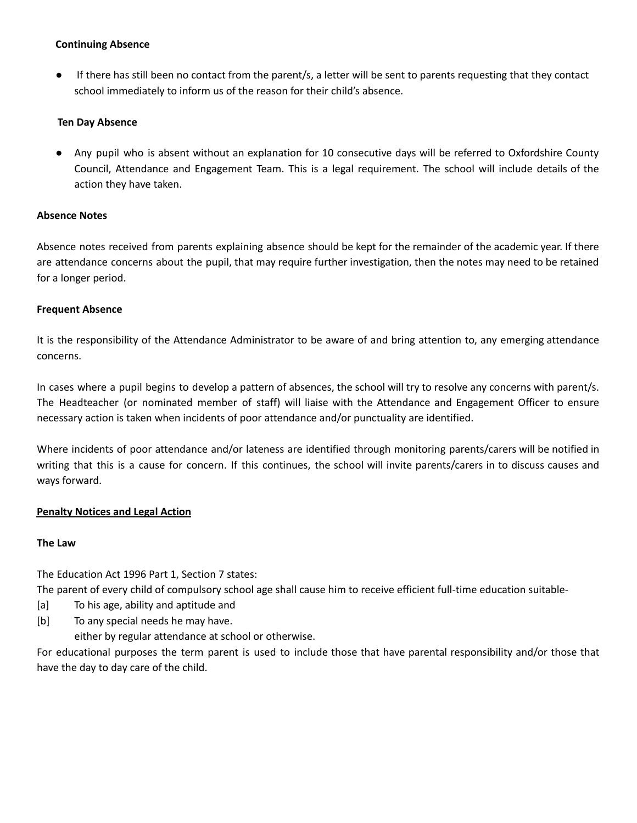## **Continuing Absence**

● If there has still been no contact from the parent/s, a letter will be sent to parents requesting that they contact school immediately to inform us of the reason for their child's absence.

# **Ten Day Absence**

Any pupil who is absent without an explanation for 10 consecutive days will be referred to Oxfordshire County Council, Attendance and Engagement Team. This is a legal requirement. The school will include details of the action they have taken.

## **Absence Notes**

Absence notes received from parents explaining absence should be kept for the remainder of the academic year. If there are attendance concerns about the pupil, that may require further investigation, then the notes may need to be retained for a longer period.

## **Frequent Absence**

It is the responsibility of the Attendance Administrator to be aware of and bring attention to, any emerging attendance concerns.

In cases where a pupil begins to develop a pattern of absences, the school will try to resolve any concerns with parent/s. The Headteacher (or nominated member of staff) will liaise with the Attendance and Engagement Officer to ensure necessary action is taken when incidents of poor attendance and/or punctuality are identified.

Where incidents of poor attendance and/or lateness are identified through monitoring parents/carers will be notified in writing that this is a cause for concern. If this continues, the school will invite parents/carers in to discuss causes and ways forward.

# **Penalty Notices and Legal Action**

## **The Law**

The Education Act 1996 Part 1, Section 7 states:

The parent of every child of compulsory school age shall cause him to receive efficient full-time education suitable-

- [a] To his age, ability and aptitude and
- [b] To any special needs he may have.

either by regular attendance at school or otherwise.

For educational purposes the term parent is used to include those that have parental responsibility and/or those that have the day to day care of the child.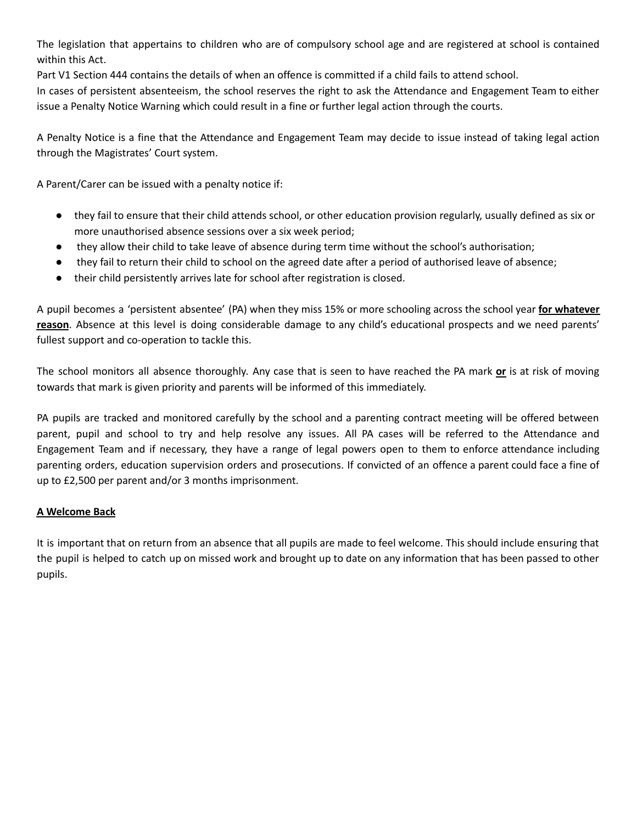The legislation that appertains to children who are of compulsory school age and are registered at school is contained within this Act.

Part V1 Section 444 contains the details of when an offence is committed if a child fails to attend school.

In cases of persistent absenteeism, the school reserves the right to ask the Attendance and Engagement Team to either issue a Penalty Notice Warning which could result in a fine or further legal action through the courts.

A Penalty Notice is a fine that the Attendance and Engagement Team may decide to issue instead of taking legal action through the Magistrates' Court system.

A Parent/Carer can be issued with a penalty notice if:

- they fail to ensure that their child attends school, or other education provision regularly, usually defined as six or more unauthorised absence sessions over a six week period;
- they allow their child to take leave of absence during term time without the school's authorisation;
- they fail to return their child to school on the agreed date after a period of authorised leave of absence;
- their child persistently arrives late for school after registration is closed.

A pupil becomes a 'persistent absentee' (PA) when they miss 15% or more schooling across the school year **for whatever reason**. Absence at this level is doing considerable damage to any child's educational prospects and we need parents' fullest support and co-operation to tackle this.

The school monitors all absence thoroughly. Any case that is seen to have reached the PA mark **or** is at risk of moving towards that mark is given priority and parents will be informed of this immediately.

PA pupils are tracked and monitored carefully by the school and a parenting contract meeting will be offered between parent, pupil and school to try and help resolve any issues. All PA cases will be referred to the Attendance and Engagement Team and if necessary, they have a range of legal powers open to them to enforce attendance including parenting orders, education supervision orders and prosecutions. If convicted of an offence a parent could face a fine of up to £2,500 per parent and/or 3 months imprisonment.

# **A Welcome Back**

It is important that on return from an absence that all pupils are made to feel welcome. This should include ensuring that the pupil is helped to catch up on missed work and brought up to date on any information that has been passed to other pupils.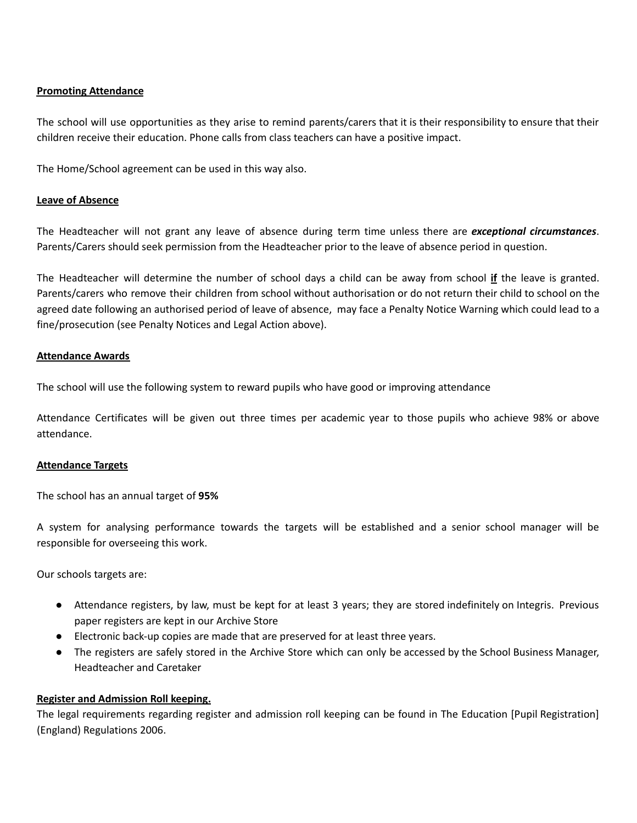## **Promoting Attendance**

The school will use opportunities as they arise to remind parents/carers that it is their responsibility to ensure that their children receive their education. Phone calls from class teachers can have a positive impact.

The Home/School agreement can be used in this way also.

## **Leave of Absence**

The Headteacher will not grant any leave of absence during term time unless there are *exceptional circumstances*. Parents/Carers should seek permission from the Headteacher prior to the leave of absence period in question.

The Headteacher will determine the number of school days a child can be away from school **if** the leave is granted. Parents/carers who remove their children from school without authorisation or do not return their child to school on the agreed date following an authorised period of leave of absence, may face a Penalty Notice Warning which could lead to a fine/prosecution (see Penalty Notices and Legal Action above).

## **Attendance Awards**

The school will use the following system to reward pupils who have good or improving attendance

Attendance Certificates will be given out three times per academic year to those pupils who achieve 98% or above attendance.

## **Attendance Targets**

The school has an annual target of **95%**

A system for analysing performance towards the targets will be established and a senior school manager will be responsible for overseeing this work.

Our schools targets are:

- Attendance registers, by law, must be kept for at least 3 years; they are stored indefinitely on Integris. Previous paper registers are kept in our Archive Store
- Electronic back-up copies are made that are preserved for at least three years.
- The registers are safely stored in the Archive Store which can only be accessed by the School Business Manager, Headteacher and Caretaker

# **Register and Admission Roll keeping.**

The legal requirements regarding register and admission roll keeping can be found in The Education [Pupil Registration] (England) Regulations 2006.